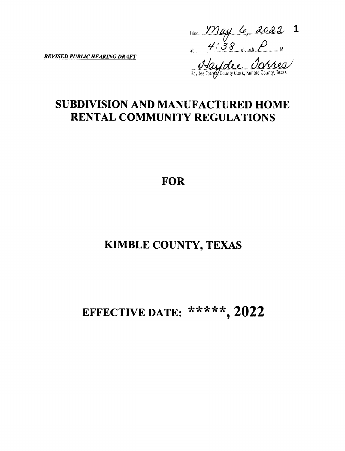Filed  $\frac{May}{4.38}$  C, 2022 1

**REVISED PUBLIC HEARING DRAFT** 

Haylolee Jorres

# **SUBDIVISION AND MANUFACTURED HOME RENTAL COMMUNITY REGULATIONS**

# **FOR**

# **KIMBLE COUNTY, TEXAS**

# EFFECTIVE DATE: \*\*\*\*\*, 2022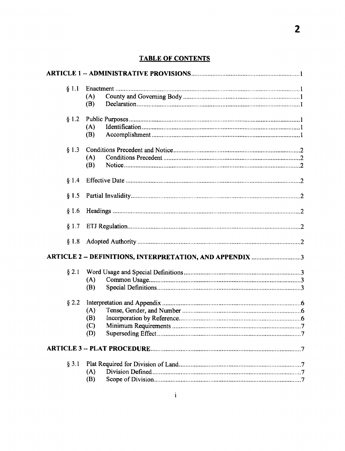| \$1.1   | (A)<br>(B)                                               |  |  |
|---------|----------------------------------------------------------|--|--|
| § 1.2   | (A)<br>(B)                                               |  |  |
| § 1.3   | (A)<br>(B)                                               |  |  |
| § 1.4   |                                                          |  |  |
| \$1.5   |                                                          |  |  |
| § 1.6   |                                                          |  |  |
| § 1.7   |                                                          |  |  |
| § 1.8   |                                                          |  |  |
|         | ARTICLE 2 -- DEFINITIONS, INTERPRETATION, AND APPENDIX 3 |  |  |
| $§$ 2.1 | (A)<br>(B)                                               |  |  |
| $§$ 2.2 | (A)<br>(B)<br>(C)<br>(D)                                 |  |  |
|         |                                                          |  |  |
| $§$ 3.1 | (A)<br>(B)                                               |  |  |

## **TABLE OF CONTENTS**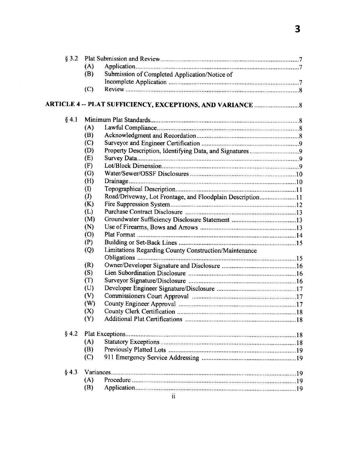| § 3.2   |                            |                                                           |  |
|---------|----------------------------|-----------------------------------------------------------|--|
|         | (A)                        |                                                           |  |
|         | (B)                        | Submission of Completed Application/Notice of             |  |
|         |                            |                                                           |  |
|         | (C)                        |                                                           |  |
|         |                            |                                                           |  |
| § 4.1   |                            |                                                           |  |
|         | (A)                        |                                                           |  |
|         | (B)                        |                                                           |  |
|         | (C)                        |                                                           |  |
|         | (D)                        |                                                           |  |
|         | (E)                        |                                                           |  |
|         | (F)                        |                                                           |  |
|         | (G)                        |                                                           |  |
|         | (H)                        |                                                           |  |
|         | $\rm (I)$                  |                                                           |  |
|         | $\left( \mathrm{J}\right)$ | Road/Driveway, Lot Frontage, and Floodplain Description11 |  |
|         | (K)                        |                                                           |  |
|         | (L)                        |                                                           |  |
|         | (M)                        |                                                           |  |
|         | (N)                        |                                                           |  |
|         | (0)                        |                                                           |  |
|         | (P)                        |                                                           |  |
|         | $\left( Q\right)$          | Limitations Regarding County Construction/Maintenance     |  |
|         |                            |                                                           |  |
|         | (R)                        |                                                           |  |
|         | (S)                        |                                                           |  |
|         | (T)                        |                                                           |  |
|         | (U)                        |                                                           |  |
|         | (V)                        |                                                           |  |
|         | (W)                        |                                                           |  |
|         | (X)                        |                                                           |  |
|         | (Y)                        |                                                           |  |
| § 4.2   |                            |                                                           |  |
|         | (A)                        |                                                           |  |
|         | (B)                        |                                                           |  |
|         | (C)                        |                                                           |  |
|         |                            |                                                           |  |
| $§$ 4.3 |                            |                                                           |  |
|         | (A)                        |                                                           |  |
|         | (B)                        |                                                           |  |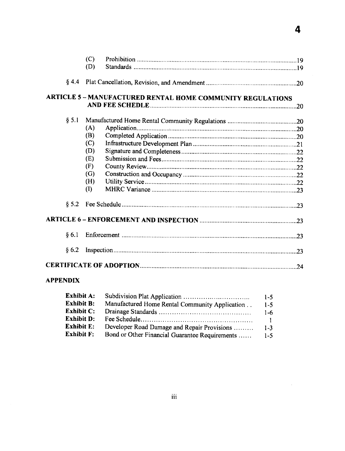|                  | (C)<br>(D) |                                                                   |  |
|------------------|------------|-------------------------------------------------------------------|--|
| § 4.4            |            |                                                                   |  |
|                  |            | <b>ARTICLE 5 - MANUFACTURED RENTAL HOME COMMUNITY REGULATIONS</b> |  |
|                  |            |                                                                   |  |
| § 5.1            |            |                                                                   |  |
|                  | (A)        |                                                                   |  |
|                  | (B)        |                                                                   |  |
|                  | (C)        |                                                                   |  |
|                  | (D)        |                                                                   |  |
|                  | (E)        |                                                                   |  |
|                  | (F)        |                                                                   |  |
|                  | (G)        |                                                                   |  |
|                  | (H)        |                                                                   |  |
|                  | (I)        |                                                                   |  |
| \$5.2\$          |            |                                                                   |  |
|                  |            |                                                                   |  |
| § 6.1            |            |                                                                   |  |
| § 6.2            |            |                                                                   |  |
|                  |            |                                                                   |  |
| . . <del>.</del> |            |                                                                   |  |

 $\overline{\mathbf{4}}$ 

 $\mathcal{L}^{\text{max}}_{\text{max}}$ 

#### **APPENDIX**

| <b>Exhibit A:</b> |                                                | $1 - 5$      |
|-------------------|------------------------------------------------|--------------|
| <b>Exhibit B:</b> | Manufactured Home Rental Community Application | $1-5$        |
| <b>Exhibit C:</b> |                                                | $1 - 6$      |
| <b>Exhibit D:</b> |                                                | $\mathbf{1}$ |
| <b>Exhibit E:</b> | Developer Road Damage and Repair Provisions    | $1 - 3$      |
| <b>Exhibit F:</b> | Bond or Other Financial Guarantee Requirements | $1 - 5$      |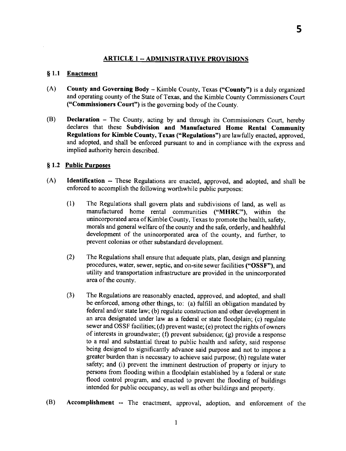#### ARTICLE 1 -- ADMINISTRATIVE PROVISIONS

#### § 1.1 Enactment

- (A) County and Governing Body Kimble County, Texas ("County") is a duly organized and operating county of the State of Texas, and the Kimble County Commissioners Court ("Commissioners Court") is the governing body of the County.
- (B) Declaration The County, acting by and through its Commissioners Court, hereby declares that these Subdivision and Manufactured Home Rental Community Regulations for Kimble County, Texas ("Regulations") are lawfully enacted, approved, and adopted, and shall be enforced pursuant to and in compliance with the exprcss and implied authority hercin described.

#### \$ 1.2 Public Purooses

- (A) ldentification -- These Regulations are enacted, approved, and adopted, and shall be enforced to accomplish the following worthwhile public purposcs:
	- (l) The Regulations shall govern plats and subdivisions of land, as well as manufactured home rental communities ("MHRC"), within the unincorporated area of Kimble County, Texas to promote the health, safety, morals and general welfare of the county and the safe, orderly, and healthful development of the unincorporated area of the county, and further, to prevent colonias or other substandard development.
	- (2) The Regulations shall ensure that adequate plats, plan, design and planning procedures, water, sewer, septic, and on-site sewer facilities ("OSSF"), and utility and transportation infrastructure are provided in the unincorporated area of the county.
	- (3) The Regulations are reasonably enacted, approved, and adopted, and shall be enforced, among other things, to: (a) fulfiIl an obligation mandated by federal and/or state law; (b) regulate construction and other development in an area designated under law as a federal or state floodplain; (c) regulate sewer and OSSF facilities; (d) prevent waste; (e) protect the rights ofowners of interests in groundwater; (f) prevent subsidence; (g) provide a responsc to a real and substantial threat to public hcalth and safety, said response being designed to significantly advance said purpose and not to impose a greatcr burden than is neccssary to achieve said purpose; (h) regulate water safety; and (i) prevent the imminent destruction of property or injury to persons from flooding within a floodplain established by a federal or state flood control program, and enacted to prevent the flooding of buildings intended for public occupancy, as well as other buildings and property.
- (B) Accomplishment -- The enactment, approval, adoption, and enforcement of the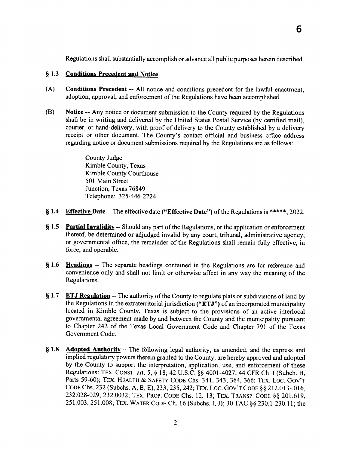Regulations shall substantially accomplish or advance all public purposes herein described.

#### \$ 1.3 Conditions Precedent and Notice

- (A) Conditions Precedent -- All notice and conditions precedent for the lawful enactment, adoption, approval, and enforcement of thc Regulations have been accomplished.
- (B) Notice -- Any notice or document submission to the County required by the Regulations shall be in writing and delivered by the United States Postal Service (by certified mail), courier, or hand-delivery, with proof of delivery to the County established by a delivery receipt or other document. The County's contact official and business office address regarding notice or document submissions required by the Regulations are as follows:

County Judge Kimble County, Texas Kimble County Courthouse 501 Main Street Junction, Texas 76849 Tclephone: 325-446-2724

- § 1.4 Effective Date -- The effective date ("Effective Date") of the Regulations is \*\*\*\*\*, 2022.
- § 1.5 Partial Invalidity -- Should any part of the Regulations, or the application or enforcement thereof, be determined or adjudged invalid by any court, tribunal, administrative agency, or governmental office, the remainder of the Regulations shall remain fully effective, in force, and operable.
- <sup>S</sup>1.6 Headings -- The separate headings contained in the Regulations are for reference and convenience only and shall not limit or otherwise affect in any way the meaning of the Regulations.
- $$1.7$ **ETJ Regulation** -- The authority of the County to regulate plats or subdivisions of land by the Regulations in the extraterritorial jurisdiction ("ETJ") of an incorporated municipality located in Kimble County, Texas is subject to the provisions of an active interlocal governmental agreement made by and between the County and the municipality pursuant to Chapter 242 of the Texas Local Government Code and Chapter 791 of the Texas Government Code.
- \$ 1.8 **Adopted Authority** – The following legal authority, as amended, and the express and implied regulatory powers therein granted to thc County, are hereby approved and adopted by the County to support the interpretation, application, use, and enforcement of these Regulations: TEX. CONST. art. 5, § 18; 42 U.S.C. §§ 4001-4027; 44 CFR Ch. I (Subch. B, Parts 59-60); TEX. HEALTH & SAFETY CODE Chs. 341, 343, 364, 366; TEX. LOC. GOV'T CODE Chs. 232 (Subchs. A, B, E), 233, 235, 242; TEX. LOC. GOV'T CODE § § 212.013-.016, 232.028-029, 232.0032; TEX. PROP. CODE Chs. 12, 13; TEX. TRANSP. CODE §§ 201.619, 251.003, 251.008; TEX. WATER CODE Ch. 16 (Subchs. I, J); 30 TAC §§ 230.1-230.11; the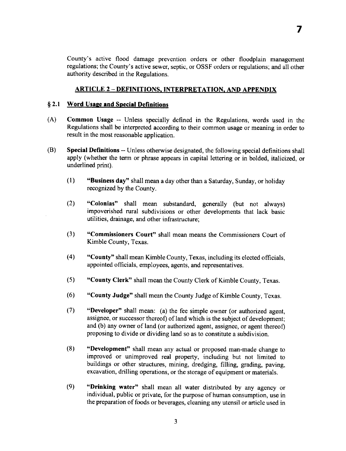County's active flood damage prevcntion orders or other floodplain managcment regulations; the County's active sewer, septic, or OSSF orders or regulations; and all other authority described in the Regulations.

#### **ARTICLE 2 - DEFINITIONS, INTERPRETATION, AND APPENDIX**

#### § 2.1 Word Usage and Special Definitions

- (A) Common Usage -- Unless specially defined in the Regulations, words used in thc Regulations shall be interpreted according to their common usage or meaning in order to result in the most reasonable application.
- Special Definitions -- Unless otherwise designated, the following special definitions shall apply (whether the term or phrase appears in capital lettering or in bolded, italicized, or underlined print). (B)
	- "Business day" shall mean a day other than a Saturday, Sunday, or holiday recognized by the County.  $(1)$
	- "Colonias" shall mean substandard, generally (but not always) impoverished rural subdivisions or other developments that lack basic utilities, drainage, and other infrastructure;  $(2)$
	- (3) "Commissioners Court" shall mcan means the Commissioners Court of Kimble County, Texas.
	- (4) "County" shall mean Kimble County, Texas, including its elected officials, appointed officials, employees, agents, and representatives.
	- $(5)$ "County Clerk" shall mean the County Clerk of Kimble County, Texas.
	- (6) "County Judge" shall mean the County Judge of Kimble County, Tcxas.
	- (7) "Developer" shall mean: (a) the fee simple owner (or authorized agent, assignee, or successor thcreof) of land which is the subject of development; and (b) any owner of land (or authorized agent, assignee, or agent thereof) proposing to divide or dividing land so as to constitute a subdivision.
	- (8) "Development" shall mean any actual or proposed man-made change to improved or unimproved real property, including but not limited to buildings or other structures, mining, dredging, filling, grading, paving, excavation, drilling operations, or the storage of equipment or materials.
	- "Drinking water" shall mean all water distributed by any agency or individual, public or private, for the purpose of human consumption, use in the preparation of foods or beverages, cleaning any utcnsil or article used in  $(9)$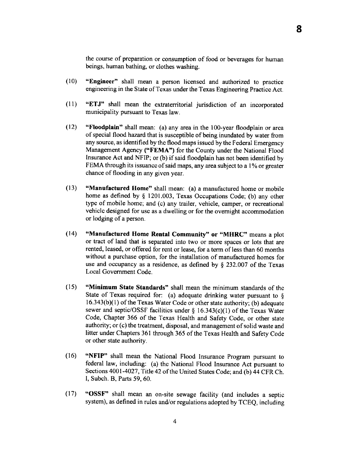the course of prcparation or consumption of food or beverages for human beings, human bathing, or clothes washing.

- (10) "Engineer' shall mean a person licensed and authorized to practice engineering in the State of Texas under the Texas Engineering Practice Act.
- (ll) "ETJ" shall mean the cxtraterritorial jurisdiction of an incorporated municipality pursuant to Texas law.
- (12) "Floodplain" shall mean: (a) any area in the 100-year floodplain or area of special flood hazard that is susceptible of being inundated by water from any source, as identified by the flood maps issucd by the Federal Emergency Management Agency ("FEMA") for the County under the National Flood Insurance Act and NFIP; or (b) if said floodplain has not been identified by FEMA through its issuance of said maps, any area subject to a  $1\%$  or greater chance of flooding in any given year.
- (13) "Manufactured Home" shall mean: (a) a manufactured home or mobile home as defined by § 1201.003, Texas Occupations Code; (b) any other type of mobile home; and (c) any trailer, vehicle, camper, or recreational vehiclc designed for usc as a dwelling or for the overnight accommodation or lodging of a person.
- (14) "Manufactured Home Rental Community" or "MHRC" means a plot or tract of land that is separated into two or more spacss or lots that are rented, leased, or offered for rent or lease, for a term of less than 60 months without a purchase option, for the installation of manufactured homcs for use and occupancy as a residence, as defined by  $\S$  232.007 of the Texas Local Govemment Code.
- (15) "Minimum State Standards" shall mean the minimum standards of thc State of Texas required for: (a) adequate drinking water pursuant to  $\S$  $16.343(b)(1)$  of the Texas Water Code or other state authority; (b) adequate sewer and septic/OSSF facilities under  $\S$  16.343(c)(1) of the Texas Water code, chapter 366 of the Texas Health and Safety code, or other state authority; or (c) the treatment, disposal, and management of solid waste and litter under Chapters 361 through 365 of the Texas Health and Safety Code or other state authority.
- (16) "NFIP" shall mean the National Flood Insurance Program pursuant to fcderal law, including: (a) the National Flood Insurance Act pursuant to Sections 4001-4027, Title 42 of the United States Code; and (b) 44 CFR Ch. I, Subch. B, Parts 59,60.
- (17) "OSSF" shall mean an on-site sewage facility (and includes a septic system), as defined in rules and/or regulations adopted by TCEQ, including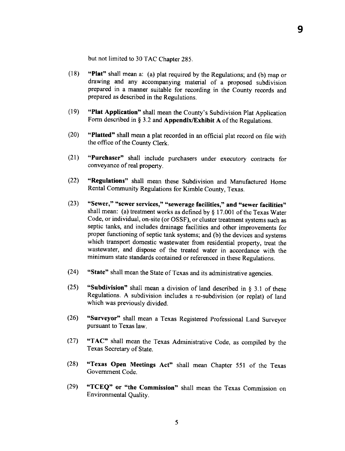but not limited to 30 TAC Chapter 295.

- (18) "Plat" shall mean a: (a) plat required by the Regulations; and (b) map or drawing and any accompanying material of a proposed subdivision prepared in a manner suitable for recording in the County records and prepared as described in the Regulations.
- (19) "Plat Application" shall mean the County's Subdivision Plat Application Form described in § 3.2 and Appendix/Exhibit A of the Regulations.
- (20) "Platted" shall mean a plat recorded in an official plat record on file with the office of the County Clerk.
- (21) "Purchaser" shall include purchasers under executory contracts for conveyance of real property.
- (22\ "Regulations" shall mean these Subdivision and Manufactured Home Rental Community Regulations for Kimble County, Texas.
- $(23)$  "Sewer," "sewer services," "sewerage facilities," and "sewer facilities" shall mean: (a) treatment works as defined by  $\S$  17.001 of the Texas Water Code, or individual, on-site (or OSSF), or cluster treatment systems such as septic tanks, and includes drainage facilities and other improvements for proper functioning of septic tank systems; and (b) the devices and systems which transport domestic wastewater from residential property, treat the wastewater, and dispose of the treated water in accordance with the minimum state standards contained or referenced in these Regulations.
- (24) "State" shall mean the State of Tcxas and its administrative agencies.
- (25) "Subdivision" shall mean a division of land described in  $\S$  3.1 of these Regulations. A subdivision includes a re-subdivision (or replat) of land which was previously divided.
- (26) "Surveyor" shall mean a Texas Registered Professional Land Surveyor pursuant to Texas law.
- (27) "TAc" shall mcan the Texas Administrative code, as compiled by the Texas Secretary of State.
- (28) "Texas open Meetings Act" shall mean chapter 551 of thc Texas Govemment Code.
- (29) "TCEQ" or "the Commission" shall mean the Texas Commission on Environmental Quality.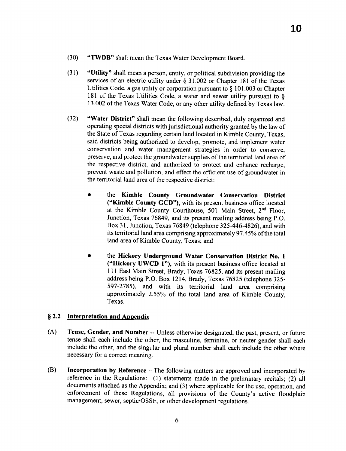- (30) (TWDB" shall mean the Texas Water Devclopment Board.
- $(31)$  "Utility" shall mean a person, entity, or political subdivision providing the services of an electric utility under  $\S$  31.002 or Chapter 181 of the Texas Utilities Code, a gas utility or corporation pursuant to \$ 101.003 or Chapter 181 of the Texas Utilities Code, a water and sewer utility pursuant to  $\S$ 13.002 of the Texas Water Code, or any other utility defined by Texas law.
- (32) "Water District" shall mean the following described, duly organized and operating spccial districts with jurisdictional authority granted by the law of thc State of Texas regarding certain land located in Kimble County, Tcxas, said districts being authorized to develop, promote, and implement water conservation and water management strategies in order to conserve, preserye, and protcct the groundwatcr supplies of the tenitorial land area of the respective district, and authorized to protect and enhance rechargc, prevent waste and pollution, and effect the efficient use of groundwater in the territorial land area of the rcspective district:
	- . the Kimble County Groundwater Conservation District ("Kimble County GCD"), with its present business office located at the Kimble County Courthouse, 501 Main Street, 2<sup>nd</sup> Floor, Junction, Texas 76849, and its present mailing address being P.O. Box 31, Junction, Texas 76849 (telephone 325-446-4826), and with its territorial land area comprising approximately 97.45% of the total land area of Kimble County, Texas; and
	- the Hickory Underground Water Conservation District No. 1 ("Hickory UWCD l"), with its present business office located at 111 East Main Street, Brady, Texas 76825, and its present mailing address being P.O. Box 1214, Brady, Texas 76825 (telephone 325- 597-2785), and with its territorial land area comprising approximately 2.55% of the total land area of Kimble County, Texas.

### \$ 2.2 Interpretation and Aopendix

- (A) Tense, Gender, and Number -- Unless otherwise designated, the past, present, or future tense shall each includc the other, the masculine, feminine, or neuter gender shall each include the other, and the singular and plural number shall each include the other where necessary for a correct meaning.
- $(B)$  Incorporation by Reference The following matters arc approved and incorporated by reference in the Regulations: (1) statements made in the preliminary recitals; (2) all documents attached as thc Appendix; and (3) where applicable for the usc, opcration, and cnforcement of these Regulations, all provisions of the County's active floodplain management, sewer, septic/OSSF, or other development regulations.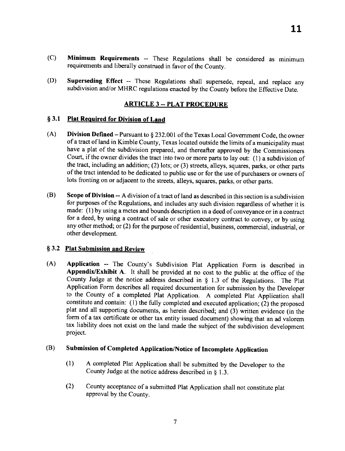- (C) Minimum Requirements -- These Regulations shall be considered as minimum requirements and liberally construed in favor of the County.
- (D) Superseding Effect -- These Regulations shall supersedc, repeal, and replacc any subdivision and/or MHRC regulations enacted by the County beforc the Effective Date.

#### **ARTICLE 3 -- PLAT PROCEDURE**

#### § 3.1 Plat Required for Division of Land

- (A) Division Defined Pursuant to  $\S 232.001$  of the Texas Local Government Code, the owner of a tract of land in Kimble County, Texas located outside the limits of a municipality must have a plat of the subdivision prepared, and thereafter approved by the Commissioners Court, if the owner divides the tract into two or more parts to lay out: (1) a subdivision of the tract, including an addition; (2) lots; or (3) streets, alleys, squares, parks, or other parts of the tract intended to be dedicated to public use or for the use of purchasers or owners of lots fronting on or adjacent to the streets, alleys, squares, parks, or other parts.
- (B) Scope of Division A division of a tract of land as described in this section is a subdivision for purposes of the Regulations, and includes any such division regardless of whether it is made: (l ) by using a mctes and bounds description in a deed of conveyance or in a contract for a deed, by using a contract of sale or other executory contract to convey, or by using any other method; or (2) for the purpose of residential, business, commercial, industrial, or other development.

#### § 3.2 Plat Submission and Review

(A) Application -- The County's Subdivision Plat Application Form is described in Appendix/Exhibit A. It shall be provided at no cost to the public at the officc of the County Judge at the notice address described in  $\S$  1.3 of the Regulations. The Plat Application Form describes all required documentation for submission by the Developer to the County of a completed Plat Application. A completed Plat Application shall constitute and contain:  $(1)$  the fully completed and executed application;  $(2)$  the proposed plat and all supporting documents, as herein described; and (3) written evidence (in the form of a tax certificate or other tax entity issued document) showing that an ad valorem tax liability does not exist on the land made the subject of the subdivision developmcnt project.

## (B) Submission of Completed Application/Notice of Incomplete Application

- (1) A completed Plat Application shall be submitted by the Developer to the County Judge at the notice address described in  $\S$  1.3.
- (2) County acceptancc of a submittcd Plat Application shall not constitutc plat approval by the County.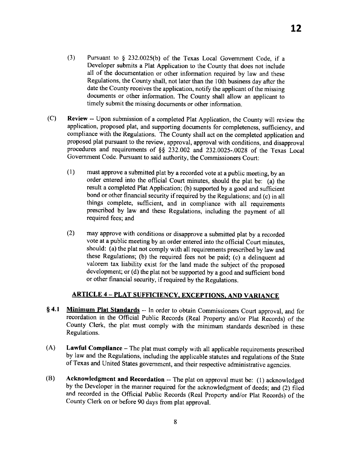- (3) Pursuant to \$ 232.0025(b) of the Texas Local Government Code, if <sup>a</sup> Developer submits a Plat Application to the County that does not include all of the documentation or other information required by law and these Regulations, the County shall, not later than the 10th business day after the date the County receives the application, notify the applicant of the missing documents or other information. The County shall allow an applicant to timely submit the missing documents or other information.
- (C) Review -- Upon submission of a completed Plat Application, the County will review the application, proposed plat, and supporting documents for completeness, sufficiency, and compliance with the Regulations. The County shall act on the completed application and proposed plat pursuant to the review, approval, approval with conditions, and disapproval procedures and requirements of §§ 232.002 and 232.0025-.0028 of the Texas Local Government Code. Pursuant to said authority, the Commissioners Court:
	- $(1)$  must approve a submitted plat by a recorded vote at a public meeting, by an order entered into the official Court minutes, should the plat be: (a) the result a completed Plat Application; (b) supported by a good and sufficient bond or other financial security if required by the Regulations; and (c) in all things complete, sufficient, and in compliance with all requirements prescribed by law and these Regulations, including the payment of all required fees; and
	- (2) may approve with conditions or disapprove a submitted plat by a recorded vote at a public meeting by an order entered into the official Court minutes, should: (a) the plat not comply with all requirements prescribed by law and these Regulations; (b) the required fees not be paid; (c) a delinquent ad valorem tax liability exist for the land made the subject of the proposed development; or (d) the plat not be supported by a good and sufficient bond or other financial security, if required by the Regulations.

## ARTICLE 4 - PLAT SUFFICIENCY, EXCEPTIONS, AND VARIANCE

- § 4.1 Minimum Plat Standards -- In order to obtain Commissioners Court approval, and for recordation in the Official Public Records (Real Property and/or Plat Records) of the County Clerk, the plat must comply with the minimum standards described in these Regulations.
- (A) Lawful Compliance The plat must comply with all applicable requirements prescribed by law and the Regulations, including the applicable statutes and regulations of the State of Texas and United States governmcnt, and their respective administrative agcncies.
- (B) Acknowledgment and Recordation -- The plat on approval must be: (1) acknowledged by the Developer in the manner required for the acknowledgment of deeds; and (2) filed and recorded in the Official Public Records (Real Propcrty and/or Plat Records) of the County Clerk on or before 90 days from plat approval.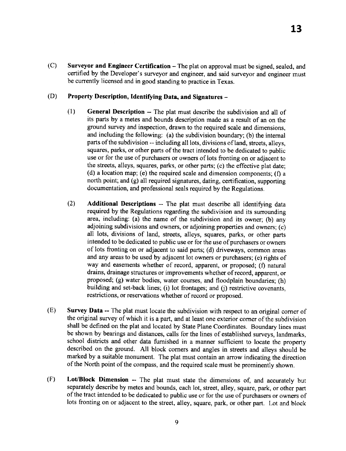$(C)$ Surveyor and Engineer Certification - The plat on approval must be signed, sealed, and certified by the Developer's surveyor and engineer, and said surveyor and engineer must be currently licensed and in good standing to practice in Texas.

#### (D) Property Description, Identifying Data, and Signatures -

- (1) General Description -- The plat must describe the subdivision and all of its parts by a metes and bounds description made as a result of an on the ground survey and inspection, drawn to the required scale and dimensions, and including the following: (a) the subdivision boundary; (b) the internal parts of the subdivision -- including all lots, divisions of land, strcets, alleys, squares, parks, or other parts of the tract intended to be dedicated to public use or for the use of purchasers or owners of lots fronting on or adjacent to the streets, alleys, squares, parks, or other parts; (c) the effective plat date; (d) a location map; (e) the required scale and dimension components; (f) a north point; and (g) all required signatures, dating, certification, supporting documentation, and professional seals requircd by the Regulations.
- (2) Additional Descriptions -- The plat must describe all identifying data required by the Regulations rcgarding the subdivision and its surrounding area, including: (a) the name of the subdivision and its owner; (b) any adjoining subdivisions and owners, or adjoining properties and owners; (c) all lots, divisions of land, streets, alleys, squares, parks, or other parts intended to be dedicated to public use or for the use of purchasers or owners of lots fronting on or adjacent to said parts; (d) driveways, common areas and any areas to be used by adjacent lot owners or purchasers; (e) rights of way and easements whether of record, apparent, or proposed; (f) natural drains, drainage structures or improvements whether of record, apparent, or proposed; (g) water bodies, water courses, and floodplain boundaries; (h) building and set-back lines; (i) lot frontages; and (j) restrictive covenants, restrictions, or reseryations whether of record or proposed.
- Survey Data -- The plat must locate the subdivision with respect to an original comer of the original survey of which it is a part, and at least one exterior comer of the subdivision shall be dcfined on the plat and located by State Plane Coordinates. Boundary lines must be shown by bearings and distances, calls for the lines of established surveys, landmarks, school districts and other data fumished in a manner sufficient to locate thc property described on the ground. All block corners and angles in streets and alleys should be marked by a suitable monument. The plat must contain an arrow indicating the direction of the North point of the compass, and the rcquired scale must be prominently shown. (E)
- Lot/Block Dimension -- The plat must state the dimensions of, and accurately but separately describe by metes and bounds, each lot, street, alley, square, park, or other part of the tract intended to be dedicated to public use or for the use of purchasers or owners of lots fronting on or adjacent to the street, alley, square, park, or other part. Lot and block (F)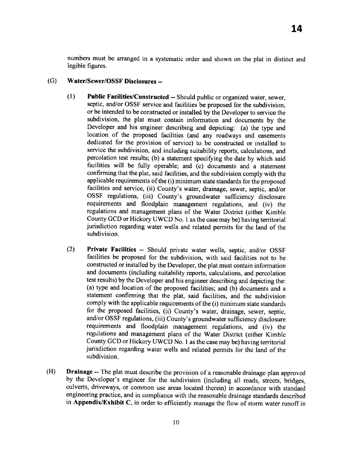numbers must be arranged in a systematic order and shown on the plat in distinct and legible figures.

#### (G) Water/Sewer/OSSF Disclosures --

- Public Facilities/Constructed -- Should public or organized water, sewer, septic, and/or OSSF service and facilities be proposed for the subdivision, or be intended to be constructed or installed by the Developer to service the subdivision, the plat must contain information and documents by the Developer and his engineer describing and depicting: (a) the type and location of the proposed facilities (and any roadways and easements dedicated for the provision of service) to be constructed or installcd to service the subdivision, and including suitability reports, calculations, and percolation test results; (b) a statement specifying the date by which said facilities will be fully operable; and (c) documents and a statement confirming that the plat, said facilities, and the subdivision comply with the applicable requirements of the (i) minimum state standards for the proposcd facilities and service, (ii) County's water, drainage, sewer, septic, and/or ossF regulations, (iii) county's groundwater sufficiency disclosure requirements and floodplain management regulations, and (iv) the rcgulations and management plans of the water District (either Kimble County GCD or Hickory UWCD No. 1 as the case may be) having territorial jurisdiction regarding water wells and related permits for the land of the subdivision. (l)
- Private Facilities -- Should private water wells, septic, and/or OSSF facilities be proposed for the subdivision, with said facilities not to be constructed or installed by the Developer, the plat must contain inforrnation and documents (including suitability reports, calculations, and percolation test results) by thc Developer and his engineer describing and depicting the: (a) type and location of the proposed facilities; and (b) documents and <sup>a</sup> statement confirming that the plat, said facilities, and the subdivision comply with the applicable requirements of the (i) minimum state standards for the proposed facilities, (ii) County's water, drainage, sewer, septic, and/or OSSF regulations, (iii) County's groundwater sufficiency disclosure requirements and floodplain management regulations, and (iv) the rcgulations and management plans of thc water District (either Kimblc County GCD or Hickory UWCD No. 1 as the case may be) having territorial jurisdiction regarding water wells and related permits for the land of the subdivision. (2)
- Drainage -- 'fhc plat must describe the provision of a reasonable drainage plan approved by the Developer's engineer for the subdivision (including all roads, streets, bridges, culverts, driveways, or common use areas located therein) in accordance with standard engineering practice, and in compliance with the reasonable drainage standards described in Appendix/Exhibit C, in order to efficiently manage the flow of storm water runoff in (H)